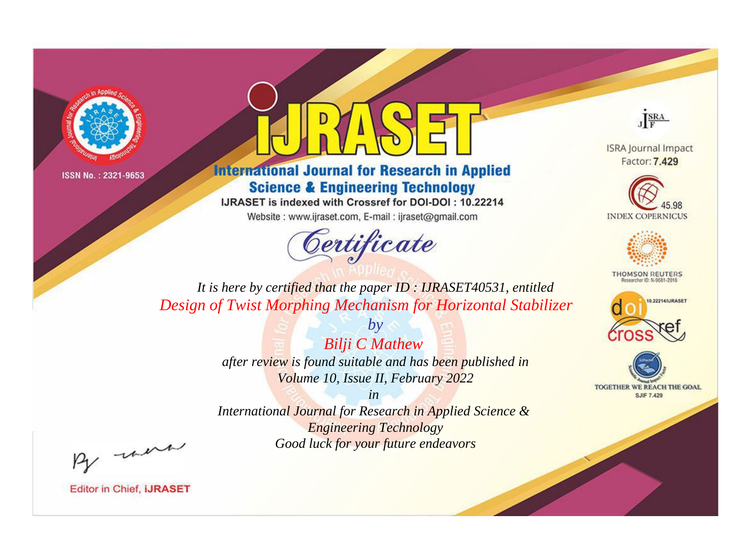



**International Journal for Research in Applied Science & Engineering Technology** 

IJRASET is indexed with Crossref for DOI-DOI: 10.22214

Website: www.ijraset.com, E-mail: ijraset@gmail.com



JERA

**ISRA Journal Impact** Factor: 7.429





**THOMSON REUTERS** 



TOGETHER WE REACH THE GOAL **SJIF 7.429** 

*It is here by certified that the paper ID : IJRASET40531, entitled Design of Twist Morphing Mechanism for Horizontal Stabilizer*

> *Bilji C Mathew after review is found suitable and has been published in Volume 10, Issue II, February 2022*

*by*

*in* 

*International Journal for Research in Applied Science & Engineering Technology Good luck for your future endeavors*

By morn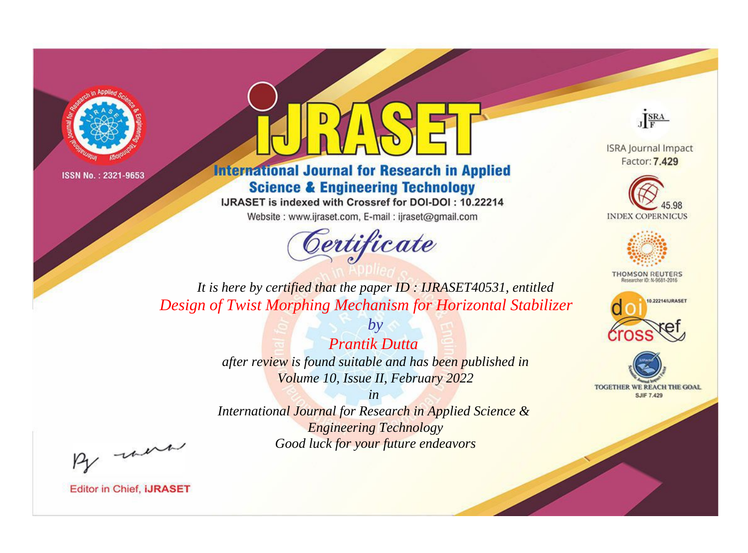



**International Journal for Research in Applied Science & Engineering Technology** 

IJRASET is indexed with Crossref for DOI-DOI: 10.22214

Website: www.ijraset.com, E-mail: ijraset@gmail.com



JERA

**ISRA Journal Impact** Factor: 7.429





**THOMSON REUTERS** 



TOGETHER WE REACH THE GOAL **SJIF 7.429** 

It is here by certified that the paper ID: IJRASET40531, entitled Design of Twist Morphing Mechanism for Horizontal Stabilizer

> $b\nu$ **Prantik Dutta** after review is found suitable and has been published in Volume 10, Issue II, February 2022

> $in$ International Journal for Research in Applied Science & **Engineering Technology** Good luck for your future endeavors

By morn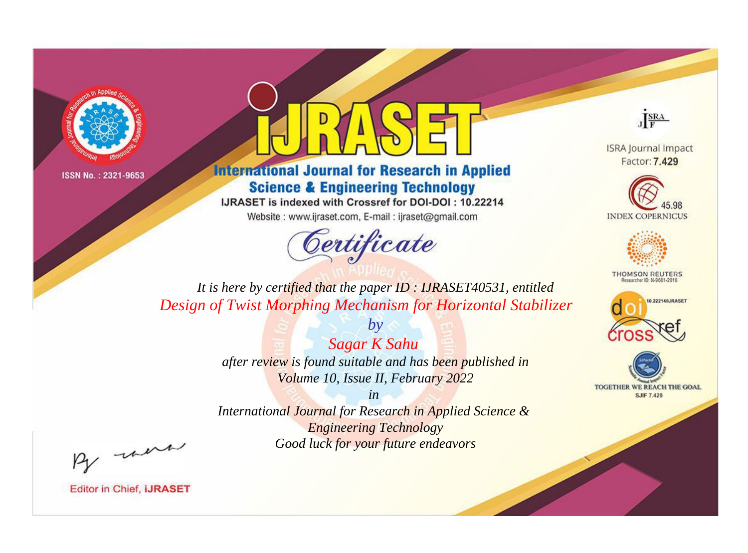



**International Journal for Research in Applied Science & Engineering Technology** 

IJRASET is indexed with Crossref for DOI-DOI: 10.22214

Website: www.ijraset.com, E-mail: ijraset@gmail.com



JERA

**ISRA Journal Impact** Factor: 7.429





**THOMSON REUTERS** 



TOGETHER WE REACH THE GOAL **SJIF 7.429** 

*It is here by certified that the paper ID : IJRASET40531, entitled Design of Twist Morphing Mechanism for Horizontal Stabilizer*

> *Sagar K Sahu after review is found suitable and has been published in Volume 10, Issue II, February 2022*

*by*

*in* 

*International Journal for Research in Applied Science & Engineering Technology Good luck for your future endeavors*

By morn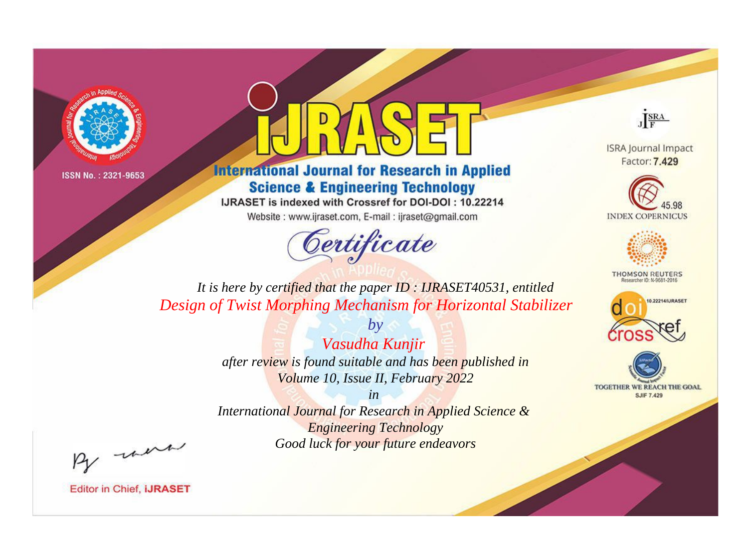



**International Journal for Research in Applied Science & Engineering Technology** 

IJRASET is indexed with Crossref for DOI-DOI: 10.22214

Website: www.ijraset.com, E-mail: ijraset@gmail.com



JERA

**ISRA Journal Impact** Factor: 7.429





**THOMSON REUTERS** 



TOGETHER WE REACH THE GOAL **SJIF 7.429** 

It is here by certified that the paper ID: IJRASET40531, entitled Design of Twist Morphing Mechanism for Horizontal Stabilizer

> $b\nu$ Vasudha Kunjir after review is found suitable and has been published in Volume 10, Issue II, February 2022

 $in$ International Journal for Research in Applied Science & **Engineering Technology** Good luck for your future endeavors

By morn